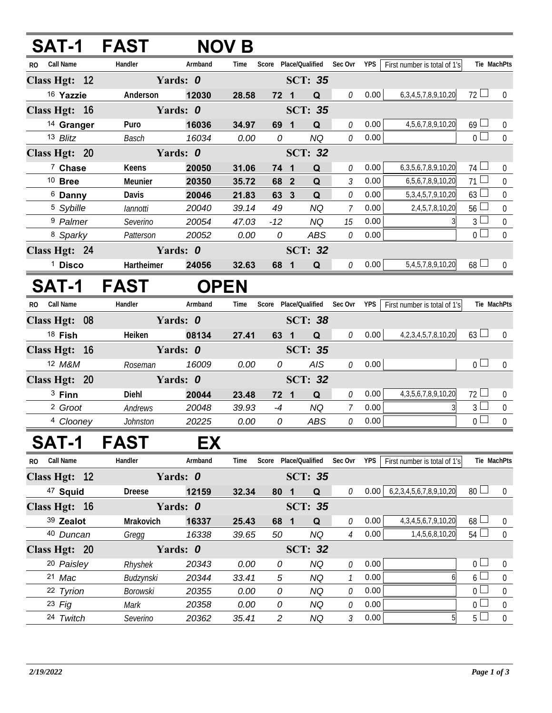| SAT-1 FAST              |                 |             | <b>NOV B</b> |                 |                                   |                |      |                                   |                 |                  |
|-------------------------|-----------------|-------------|--------------|-----------------|-----------------------------------|----------------|------|-----------------------------------|-----------------|------------------|
| RO Call Name            | Handler         | Armband     | Time         |                 | Score Place/Qualified Sec Ovr YPS |                |      | First number is total of 1's      | Tie MachPts     |                  |
| Class Hgt: 12           |                 | Yards: 0    |              |                 | <b>SCT: 35</b>                    |                |      |                                   |                 |                  |
| 16 Yazzie               | Anderson        | 12030       | 28.58        | $72 \quad 1$    | Q                                 | 0              | 0.00 | 6, 3, 4, 5, 7, 8, 9, 10, 20       | $72 \Box$       | $\overline{0}$   |
| Class Hgt: 16           |                 | Yards: 0    |              |                 | <b>SCT: 35</b>                    |                |      |                                   |                 |                  |
| <sup>14</sup> Granger   | Puro            | 16036       | 34.97        | 69 1            | Q                                 | 0              | 0.00 | 4,5,6,7,8,9,10,20                 | $69$ $\Box$     | $\overline{0}$   |
| 13 Blitz                | Basch           | 16034       | 0.00         | 0               | <b>NQ</b>                         | 0              | 0.00 |                                   | $\overline{0}$  | $\mathbf 0$      |
| Class Hgt: 20           |                 | Yards: 0    |              |                 | <b>SCT: 32</b>                    |                |      |                                   |                 |                  |
| <sup>7</sup> Chase      | Keens           | 20050       | 31.06        | 74 1            | Q                                 | 0              | 0.00 | 6, 3, 5, 6, 7, 8, 9, 10, 20       | $74$ $\Box$     | $\overline{0}$   |
| $10$ Bree               | Meunier         | 20350       | 35.72        | 68 2            | $\mathbf Q$                       | 3              | 0.00 | 6,5,6,7,8,9,10,20                 | $71 \Box$       | $\mathbf 0$      |
| 6 Danny                 | Davis           | 20046       | 21.83        | 63 3            | $\mathbf Q$                       | 0              | 0.00 | 5, 3, 4, 5, 7, 9, 10, 20          | $63 \Box$       | $\mathbf 0$      |
| <sup>5</sup> Sybille    | lannotti        | 20040       | 39.14        | 49              | <b>NQ</b>                         | $\overline{7}$ | 0.00 | 2,4,5,7,8,10,20                   | $56 \Box$       | $\boldsymbol{0}$ |
| <sup>9</sup> Palmer     | Severino        | 20054       | 47.03        | $-12$           | <b>NQ</b>                         | 15             | 0.00 |                                   | $3\sqcup$       | $\mathbf 0$      |
| 8 Sparky                | Patterson       | 20052       | 0.00         | 0               | ABS                               | 0              | 0.00 |                                   | $0\square$      | $\overline{0}$   |
| Class Hgt: 24           |                 | Yards: 0    |              |                 | <b>SCT: 32</b>                    |                |      |                                   |                 |                  |
| <sup>1</sup> Disco      | Hartheimer      | 24056       | 32.63        | 68 1            | Q                                 | 0              | 0.00 | 5,4,5,7,8,9,10,20                 | $68\Box$        | $\Omega$         |
| <b>SAT-1</b>            | <b>FAST</b>     | <b>OPEN</b> |              |                 |                                   |                |      |                                   |                 |                  |
| <b>Call Name</b><br>RO. | Handler         | Armband     | Time         |                 | Score Place/Qualified             | Sec Ovr        | YPS  | First number is total of 1's      | Tie MachPts     |                  |
| Class Hgt: 08           |                 | Yards: 0    |              |                 | <b>SCT: 38</b>                    |                |      |                                   |                 |                  |
| 18 Fish                 | Heiken          | 08134       | 27.41        | 63 1            | Q                                 | $\mathcal O$   | 0.00 | 4, 2, 3, 4, 5, 7, 8, 10, 20       | $63 \Box$       | $\overline{0}$   |
| Class Hgt: 16           |                 | Yards: 0    |              |                 | <b>SCT: 35</b>                    |                |      |                                   |                 |                  |
| 12 M&M                  | Roseman         | 16009       | 0.00         | 0               | <b>AIS</b>                        | 0              | 0.00 |                                   | 0 <sub>l</sub>  | $\overline{0}$   |
| Class Hgt: 20           |                 | Yards: 0    |              |                 | <b>SCT: 32</b>                    |                |      |                                   |                 |                  |
| $3$ Finn                | Diehl           | 20044       | 23.48        | 72 1            | Q                                 | 0              | 0.00 | 4, 3, 5, 6, 7, 8, 9, 10, 20       | $72$ $\Box$     | $\overline{0}$   |
| <sup>2</sup> Groot      | Andrews         | 20048       | 39.93        | $-4$            | <b>NQ</b>                         | 7              | 0.00 |                                   | $3\sqcup$       | $\overline{0}$   |
| 4 Clooney               | <b>Johnston</b> | 20225       | 0.00         | 0               | ABS                               | 0              | 0.00 |                                   | $0\perp$        | $\mathbf 0$      |
| SAT-1                   | <b>FASI</b>     | ЕX          |              |                 |                                   |                |      |                                   |                 |                  |
| RO Call Name            | Handler         | Armband     | Time         |                 | Score Place/Qualified             | Sec Ovr        | YPS  | First number is total of 1's      | Tie MachPts     |                  |
| Class Hgt: 12           |                 | Yards: 0    |              |                 | <b>SCT: 35</b>                    |                |      |                                   |                 |                  |
| <sup>47</sup> Squid     | <b>Dreese</b>   | 12159       | 32.34        | 80 <sub>1</sub> | Q                                 | $\theta$       | 0.00 | 6, 2, 3, 4, 5, 6, 7, 8, 9, 10, 20 | 80 <sup>1</sup> | $\overline{0}$   |
| Class Hgt: 16           |                 | Yards: 0    |              |                 | <b>SCT: 35</b>                    |                |      |                                   |                 |                  |
| 39 Zealot               | Mrakovich       | 16337       | 25.43        | 68 1            | Q                                 | 0              | 0.00 | 4, 3, 4, 5, 6, 7, 9, 10, 20       | $68 \perp$      | $\overline{0}$   |
| 40 Duncan               | Gregg           | 16338       | 39.65        | 50              | NQ                                | $\overline{4}$ | 0.00 | 1,4,5,6,8,10,20                   | $54$ $-$        | $\overline{0}$   |
| Class Hgt: 20           |                 | Yards: 0    |              |                 | <b>SCT: 32</b>                    |                |      |                                   |                 |                  |
| 20 Paisley              | Rhyshek         | 20343       | 0.00         | 0               | <b>NQ</b>                         | 0              | 0.00 |                                   | $0-$            | $\mathbf 0$      |
| 21 Mac                  | Budzynski       | 20344       | 33.41        | 5               | <b>NQ</b>                         | $\mathcal{I}$  | 0.00 | 6                                 | 6               | $\mathbf 0$      |
| 22 Tyrion               | <b>Borowski</b> | 20355       | 0.00         | 0               | <b>NQ</b>                         | 0              | 0.00 |                                   | $\Omega$        | 0                |
| $23$ Fig                | Mark            | 20358       | 0.00         | 0               | <b>NQ</b>                         | 0              | 0.00 |                                   | $\overline{0}$  | $\mathbf 0$      |
| 24 Twitch               | Severino        | 20362       | 35.41        | $\overline{2}$  | <b>NQ</b>                         | 3              | 0.00 | 5                                 | $5+$            | $\mathbf 0$      |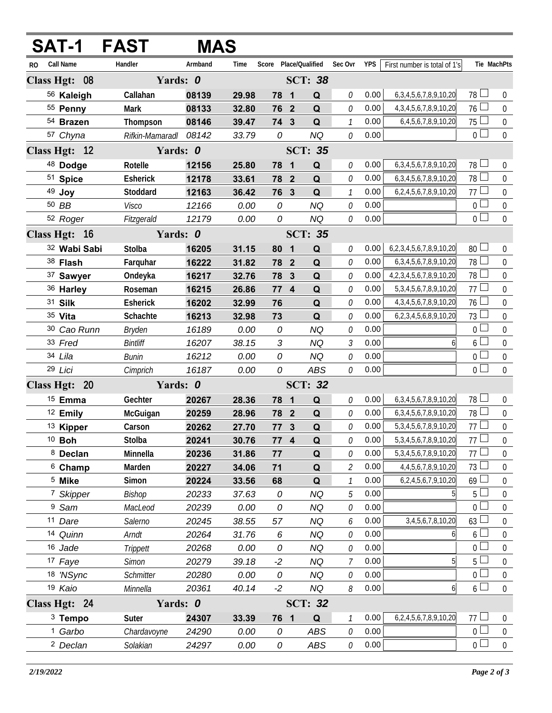|     | <b>SAT-1</b>              | <b>FAST</b>     |         | <b>MAS</b> |                       |                         |                |               |      |                                   |                       |                  |
|-----|---------------------------|-----------------|---------|------------|-----------------------|-------------------------|----------------|---------------|------|-----------------------------------|-----------------------|------------------|
| RO. | Call Name                 | Handler         | Armband | Time       | Score Place/Qualified |                         |                | Sec Ovr       | YPS  | First number is total of 1's      |                       | Tie MachPts      |
|     | Yards: 0<br>Class Hgt: 08 |                 |         |            | <b>SCT: 38</b>        |                         |                |               |      |                                   |                       |                  |
|     | 56 Kaleigh                | Callahan        | 08139   | 29.98      | 78 1                  |                         | Q              | 0             | 0.00 | 6, 3, 4, 5, 6, 7, 8, 9, 10, 20    | $78 \Box$             | $\overline{0}$   |
|     | 55 Penny                  | <b>Mark</b>     | 08133   | 32.80      | 76 2                  |                         | Q              | 0             | 0.00 | 4, 3, 4, 5, 6, 7, 8, 9, 10, 20    | $76 \Box$             | $\mathbf 0$      |
|     | 54 Brazen                 | Thompson        | 08146   | 39.47      | 74 3                  |                         | Q              | $\mathcal{I}$ | 0.00 | 6,4,5,6,7,8,9,10,20               | $75\Box$              | $\boldsymbol{0}$ |
|     | 57 Chyna                  | Rifkin-Mamaradl | 08142   | 33.79      | 0                     |                         | <b>NQ</b>      | 0             | 0.00 |                                   | $\overline{0}$        | $\overline{0}$   |
|     | Class Hgt: 12             | Yards: 0        |         |            |                       |                         | <b>SCT: 35</b> |               |      |                                   |                       |                  |
|     | 48 Dodge                  | Rotelle         | 12156   | 25.80      | 78 1                  |                         | Q              | 0             | 0.00 | 6, 3, 4, 5, 6, 7, 8, 9, 10, 20    | $78\Box$              | $\pmb{0}$        |
|     | 51 Spice                  | <b>Esherick</b> | 12178   | 33.61      | 78 2                  |                         | Q              | 0             | 0.00 | 6, 3, 4, 5, 6, 7, 8, 9, 10, 20    | $78$ $\Box$           | $\mathbf 0$      |
|     | 49 Joy                    | Stoddard        | 12163   | 36.42      | 76 3                  |                         | Q              | $\mathcal{I}$ | 0.00 | 6,2,4,5,6,7,8,9,10,20             | 77 $\Box$             | $\mathbf 0$      |
|     | 50 BB                     | Visco           | 12166   | 0.00       | 0                     |                         | <b>NQ</b>      | 0             | 0.00 |                                   | $\overline{0}$ $\Box$ | $\boldsymbol{0}$ |
|     | 52 Roger                  | Fitzgerald      | 12179   | 0.00       | 0                     |                         | <b>NQ</b>      | 0             | 0.00 |                                   | $\overline{0}$        | $\mathbf 0$      |
|     | Class Hgt: 16             | Yards: 0        |         |            |                       |                         | <b>SCT: 35</b> |               |      |                                   |                       |                  |
|     | 32 Wabi Sabi              | Stolba          | 16205   | 31.15      | 80                    | $\blacksquare$          | $\mathbf Q$    | 0             | 0.00 | 6, 2, 3, 4, 5, 6, 7, 8, 9, 10, 20 | 80 <sup>1</sup>       | $\boldsymbol{0}$ |
|     | 38 Flash                  | Farquhar        | 16222   | 31.82      | 78 2                  |                         | Q              | 0             | 0.00 | 6, 3, 4, 5, 6, 7, 8, 9, 10, 20    | $78\Box$              | $\mathbf 0$      |
|     | 37 Sawyer                 | Ondeyka         | 16217   | 32.76      | 78                    | $\overline{\mathbf{3}}$ | $\mathbf Q$    | 0             | 0.00 | 4, 2, 3, 4, 5, 6, 7, 8, 9, 10, 20 | $78 \Box$             | $\mathbf 0$      |
|     | 36 Harley                 | Roseman         | 16215   | 26.86      | 77 4                  |                         | Q              | 0             | 0.00 | 5, 3, 4, 5, 6, 7, 8, 9, 10, 20    | 77L                   | $\mathbf 0$      |
|     | 31 Silk                   | Esherick        | 16202   | 32.99      | 76                    |                         | Q              | 0             | 0.00 | 4, 3, 4, 5, 6, 7, 8, 9, 10, 20    | 76                    | $\mathbf 0$      |
|     | 35 Vita                   | Schachte        | 16213   | 32.98      | 73                    |                         | Q              | 0             | 0.00 | 6,2,3,4,5,6,8,9,10,20             | $73 -$                | $\boldsymbol{0}$ |
|     | 30 Cao Runn               | <b>Bryden</b>   | 16189   | 0.00       | 0                     |                         | <b>NQ</b>      | 0             | 0.00 |                                   | $\overline{0}$        | $\mathbf 0$      |
|     | 33 Fred                   | <b>Bintliff</b> | 16207   | 38.15      | $\sqrt{3}$            |                         | <b>NQ</b>      | 3             | 0.00 | 6                                 | $6 \perp$             | $\boldsymbol{0}$ |
|     | 34 Lila                   | <b>Bunin</b>    | 16212   | 0.00       | 0                     |                         | <b>NQ</b>      | 0             | 0.00 |                                   | $0-$                  | $\boldsymbol{0}$ |
|     | 29 Lici                   | Cimprich        | 16187   | 0.00       | 0                     |                         | ABS            | 0             | 0.00 |                                   | $\overline{0}$        | $\overline{0}$   |
|     | Class Hgt: 20             | Yards: 0        |         |            |                       |                         | <b>SCT: 32</b> |               |      |                                   |                       |                  |
|     | <sup>15</sup> Emma        | Gechter         | 20267   | 28.36      | 78 1                  |                         | Q              | 0             | 0.00 | 6, 3, 4, 5, 6, 7, 8, 9, 10, 20    | $78$ $\Box$           | $\boldsymbol{0}$ |
|     | <sup>12</sup> Emily       | McGuigan        | 20259   | 28.96      | 78 2                  |                         | Q              | 0             | 0.00 | 6, 3, 4, 5, 6, 7, 8, 9, 10, 20    | 78 <sup>1</sup>       | $\boldsymbol{0}$ |
|     | <sup>13</sup> Kipper      | Carson          | 20262   | 27.70      | 77 3                  |                         | $\mathbf Q$    | 0             | 0.00 | 5, 3, 4, 5, 6, 7, 8, 9, 10, 20    | 77L                   | $\boldsymbol{0}$ |
|     | $10$ Boh                  | Stolba          | 20241   | 30.76      | 77 4                  |                         | Q              | 0             | 0.00 | 5, 3, 4, 5, 6, 7, 8, 9, 10, 20    | $77\overline{\Box}$   | $\boldsymbol{0}$ |
|     | 8 Declan                  | Minnella        | 20236   | 31.86      | 77                    |                         | Q              | 0             | 0.00 | 5, 3, 4, 5, 6, 7, 8, 9, 10, 20    | 77                    | 0                |
|     | $6$ Champ                 | Marden          | 20227   | 34.06      | 71                    |                         | Q              | 2             | 0.00 | 4,4,5,6,7,8,9,10,20               | $73 -$                | $\overline{0}$   |
|     | <sup>5</sup> Mike         | Simon           | 20224   | 33.56      | 68                    |                         | Q              | $\mathcal{I}$ | 0.00 | 6,2,4,5,6,7,9,10,20               | 69                    | 0                |
|     | <sup>7</sup> Skipper      | Bishop          | 20233   | 37.63      | 0                     |                         | <b>NQ</b>      | 5             | 0.00 | 5                                 | 5 <sub>L</sub>        | $\boldsymbol{0}$ |
|     | <sup>9</sup> Sam          | MacLeod         | 20239   | 0.00       | 0                     |                         | <b>NQ</b>      | 0             | 0.00 |                                   | $\Omega$              | 0                |
|     | 11 Dare                   | Salerno         | 20245   | 38.55      | 57                    |                         | <b>NQ</b>      | 6             | 0.00 | 3,4,5,6,7,8,10,20                 | $63 \perp$            | $\overline{0}$   |
|     | 14 Quinn                  | Arndt           | 20264   | 31.76      | 6                     |                         | <b>NQ</b>      | 0             | 0.00 | 6                                 | $6\lfloor$            | $\boldsymbol{0}$ |
|     | 16 Jade                   | Trippett        | 20268   | 0.00       | 0                     |                         | <b>NQ</b>      | 0             | 0.00 |                                   | $\overline{0}$        | 0                |
|     | 17 Faye                   | <b>Simon</b>    | 20279   | 39.18      | $-2$                  |                         | <b>NQ</b>      | 7             | 0.00 | 5                                 | 5 <sup>L</sup>        | 0                |
|     | 18 'NSync                 | Schmitter       | 20280   | 0.00       | 0                     |                         | <b>NQ</b>      | 0             | 0.00 |                                   | 0 <sub>0</sub>        | $\boldsymbol{0}$ |
|     | 19 Kaio                   | Minnella        | 20361   | 40.14      | $-2$                  |                         | <b>NQ</b>      | 8             | 0.00 | $6 \mid$                          | $6\Box$               | $\mathbf 0$      |
|     | Class Hgt: 24             | Yards: 0        |         |            |                       |                         | <b>SCT: 32</b> |               |      |                                   |                       |                  |
|     | $3$ Tempo                 | Suter           | 24307   | 33.39      | 76 1                  |                         | Q              |               | 0.00 | 6,2,4,5,6,7,8,9,10,20             | $77 \perp$            | 0                |
|     | <sup>1</sup> Garbo        | Chardavoyne     | 24290   | 0.00       | 0                     |                         | ABS            | 0             | 0.00 |                                   | $\overline{0}$        | $\boldsymbol{0}$ |
|     | <sup>2</sup> Declan       | Solakian        | 24297   | 0.00       | 0                     |                         | ABS            | 0             | 0.00 |                                   | $\overline{0}$        | $\boldsymbol{0}$ |